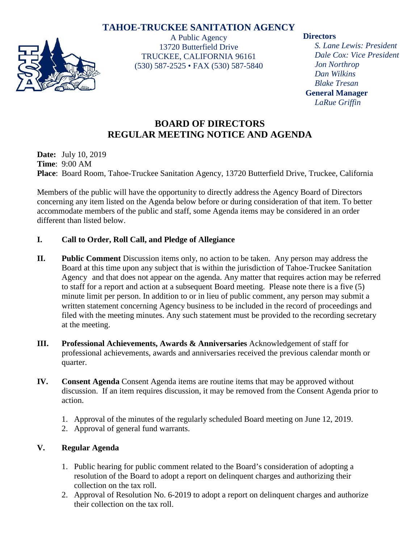# **TAHOE-TRUCKEE SANITATION AGENCY**



A Public Agency 13720 Butterfield Drive TRUCKEE, CALIFORNIA 96161 (530) 587-2525 • FAX (530) 587-5840

#### **Directors**

*S. Lane Lewis: President Dale Cox: Vice President Jon Northrop Dan Wilkins Blake Tresan* **General Manager** *LaRue Griffin*

# **BOARD OF DIRECTORS REGULAR MEETING NOTICE AND AGENDA**

**Date:** July 10, 2019 **Time**: 9:00 AM **Place**: Board Room, Tahoe-Truckee Sanitation Agency, 13720 Butterfield Drive, Truckee, California

Members of the public will have the opportunity to directly address the Agency Board of Directors concerning any item listed on the Agenda below before or during consideration of that item. To better accommodate members of the public and staff, some Agenda items may be considered in an order different than listed below.

## **I. Call to Order, Roll Call, and Pledge of Allegiance**

- **II. Public Comment** Discussion items only, no action to be taken. Any person may address the Board at this time upon any subject that is within the jurisdiction of Tahoe-Truckee Sanitation Agency and that does not appear on the agenda. Any matter that requires action may be referred to staff for a report and action at a subsequent Board meeting. Please note there is a five (5) minute limit per person. In addition to or in lieu of public comment, any person may submit a written statement concerning Agency business to be included in the record of proceedings and filed with the meeting minutes. Any such statement must be provided to the recording secretary at the meeting.
- **III. Professional Achievements, Awards & Anniversaries** Acknowledgement of staff for professional achievements, awards and anniversaries received the previous calendar month or quarter.
- **IV. Consent Agenda** Consent Agenda items are routine items that may be approved without discussion. If an item requires discussion, it may be removed from the Consent Agenda prior to action.
	- 1. Approval of the minutes of the regularly scheduled Board meeting on June 12, 2019.
	- 2. Approval of general fund warrants.

## **V. Regular Agenda**

- 1. Public hearing for public comment related to the Board's consideration of adopting a resolution of the Board to adopt a report on delinquent charges and authorizing their collection on the tax roll.
- 2. Approval of Resolution No. 6-2019 to adopt a report on delinquent charges and authorize their collection on the tax roll.